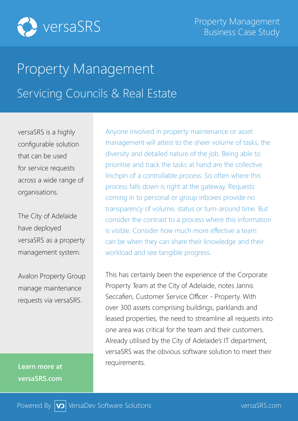

## Property Management Servicing Councils & Real Estate

versaSRS is a highly configurable solution that can be used for service requests across a wide range of organisations.

The City of Adelaide have deployed versaSRS as a property management system.

Avalon Property Group manage maintenance requests via versaSRS.

**Learn more at versaSRS.com**

Anyone involved in property maintenance or asset management will attest to the sheer volume of tasks, the diversity and detailed nature of the job. Being able to prioritise and track the tasks at hand are the collective linchpin of a controllable process. So often where this process falls down is right at the gateway. Requests coming in to personal or group inboxes provide no transparency of volume, status or turn-around time. But consider the contrast to a process where this information is visible. Consider how much more effective a team can be when they can share their knowledge and their workload and see tangible progress.

This has certainly been the experience of the Corporate Property Team at the City of Adelaide, notes Jannis Seccafien, Customer Service Officer - Property. With over 300 assets comprising buildings, parklands and leased properties, the need to streamline all requests into one area was critical for the team and their customers. Already utilised by the City of Adelaide's IT department, versaSRS was the obvious software solution to meet their requirements.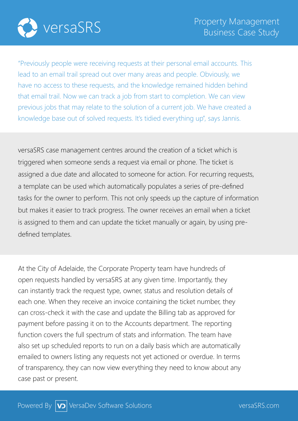

"Previously people were receiving requests at their personal email accounts. This lead to an email trail spread out over many areas and people. Obviously, we have no access to these requests, and the knowledge remained hidden behind that email trail. Now we can track a job from start to completion. We can view previous jobs that may relate to the solution of a current job. We have created a knowledge base out of solved requests. It's tidied everything up", says Jannis.

versaSRS case management centres around the creation of a ticket which is triggered when someone sends a request via email or phone. The ticket is assigned a due date and allocated to someone for action. For recurring requests, a template can be used which automatically populates a series of pre-defined tasks for the owner to perform. This not only speeds up the capture of information but makes it easier to track progress. The owner receives an email when a ticket is assigned to them and can update the ticket manually or again, by using predefined templates.

At the City of Adelaide, the Corporate Property team have hundreds of open requests handled by versaSRS at any given time. Importantly, they can instantly track the request type, owner, status and resolution details of each one. When they receive an invoice containing the ticket number, they can cross-check it with the case and update the Billing tab as approved for payment before passing it on to the Accounts department. The reporting function covers the full spectrum of stats and information. The team have also set up scheduled reports to run on a daily basis which are automatically emailed to owners listing any requests not yet actioned or overdue. In terms of transparency, they can now view everything they need to know about any case past or present.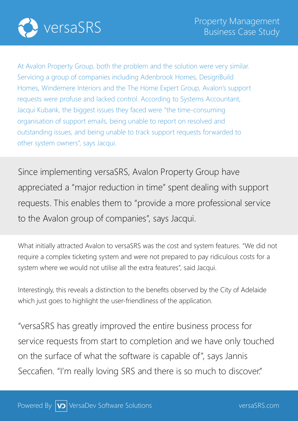

At Avalon Property Group, both the problem and the solution were very similar. Servicing a group of companies including Adenbrook Homes, DesignBuild Homes, Windemere Interiors and the The Home Expert Group, Avalon's support requests were profuse and lacked control. According to Systems Accountant, Jacqui Kubank, the biggest issues they faced were "the time-consuming organisation of support emails, being unable to report on resolved and outstanding issues, and being unable to track support requests forwarded to other system owners", says Jacqui.

Since implementing versaSRS, Avalon Property Group have appreciated a "major reduction in time" spent dealing with support requests. This enables them to "provide a more professional service to the Avalon group of companies", says Jacqui.

What initially attracted Avalon to versaSRS was the cost and system features. "We did not require a complex ticketing system and were not prepared to pay ridiculous costs for a system where we would not utilise all the extra features", said Jacqui.

Interestingly, this reveals a distinction to the benefits observed by the City of Adelaide which just goes to highlight the user-friendliness of the application.

"versaSRS has greatly improved the entire business process for service requests from start to completion and we have only touched on the surface of what the software is capable of", says Jannis Seccafien. "I'm really loving SRS and there is so much to discover."